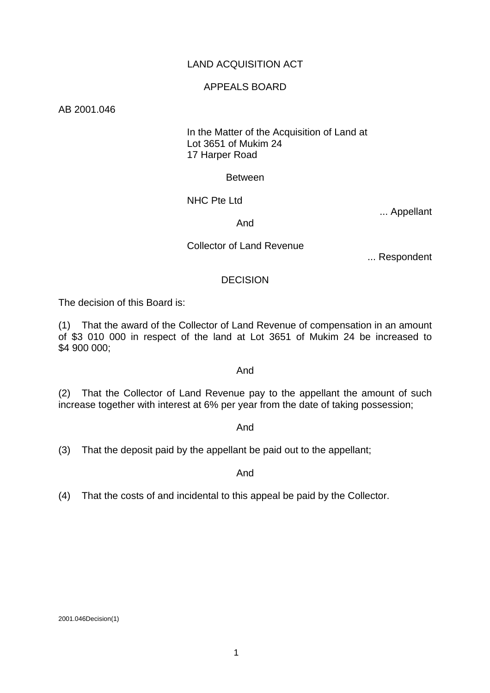# LAND ACQUISITION ACT

### APPEALS BOARD

### AB 2001.046

### In the Matter of the Acquisition of Land at Lot 3651 of Mukim 24 17 Harper Road

#### Between

### NHC Pte Ltd

... Appellant

#### And

### Collector of Land Revenue

... Respondent

#### **DECISION**

The decision of this Board is:

(1) That the award of the Collector of Land Revenue of compensation in an amount of \$3 010 000 in respect of the land at Lot 3651 of Mukim 24 be increased to \$4 900 000;

### And

(2) That the Collector of Land Revenue pay to the appellant the amount of such increase together with interest at 6% per year from the date of taking possession;

#### And

(3) That the deposit paid by the appellant be paid out to the appellant;

#### And

(4) That the costs of and incidental to this appeal be paid by the Collector.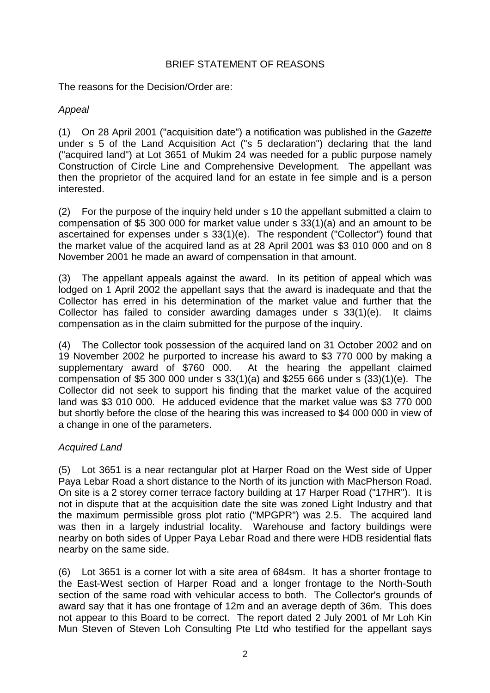## BRIEF STATEMENT OF REASONS

The reasons for the Decision/Order are:

# *Appeal*

(1) On 28 April 2001 ("acquisition date") a notification was published in the *Gazette* under s 5 of the Land Acquisition Act ("s 5 declaration") declaring that the land ("acquired land") at Lot 3651 of Mukim 24 was needed for a public purpose namely Construction of Circle Line and Comprehensive Development. The appellant was then the proprietor of the acquired land for an estate in fee simple and is a person interested.

(2) For the purpose of the inquiry held under s 10 the appellant submitted a claim to compensation of \$5 300 000 for market value under s 33(1)(a) and an amount to be ascertained for expenses under s 33(1)(e). The respondent ("Collector") found that the market value of the acquired land as at 28 April 2001 was \$3 010 000 and on 8 November 2001 he made an award of compensation in that amount.

(3) The appellant appeals against the award. In its petition of appeal which was lodged on 1 April 2002 the appellant says that the award is inadequate and that the Collector has erred in his determination of the market value and further that the Collector has failed to consider awarding damages under s 33(1)(e). It claims compensation as in the claim submitted for the purpose of the inquiry.

(4) The Collector took possession of the acquired land on 31 October 2002 and on 19 November 2002 he purported to increase his award to \$3 770 000 by making a supplementary award of \$760 000. At the hearing the appellant claimed compensation of \$5 300 000 under s 33(1)(a) and \$255 666 under s (33)(1)(e). The Collector did not seek to support his finding that the market value of the acquired land was \$3 010 000. He adduced evidence that the market value was \$3 770 000 but shortly before the close of the hearing this was increased to \$4 000 000 in view of a change in one of the parameters.

# *Acquired Land*

(5) Lot 3651 is a near rectangular plot at Harper Road on the West side of Upper Paya Lebar Road a short distance to the North of its junction with MacPherson Road. On site is a 2 storey corner terrace factory building at 17 Harper Road ("17HR"). It is not in dispute that at the acquisition date the site was zoned Light Industry and that the maximum permissible gross plot ratio ("MPGPR") was 2.5. The acquired land was then in a largely industrial locality. Warehouse and factory buildings were nearby on both sides of Upper Paya Lebar Road and there were HDB residential flats nearby on the same side.

(6) Lot 3651 is a corner lot with a site area of 684sm. It has a shorter frontage to the East-West section of Harper Road and a longer frontage to the North-South section of the same road with vehicular access to both. The Collector's grounds of award say that it has one frontage of 12m and an average depth of 36m. This does not appear to this Board to be correct. The report dated 2 July 2001 of Mr Loh Kin Mun Steven of Steven Loh Consulting Pte Ltd who testified for the appellant says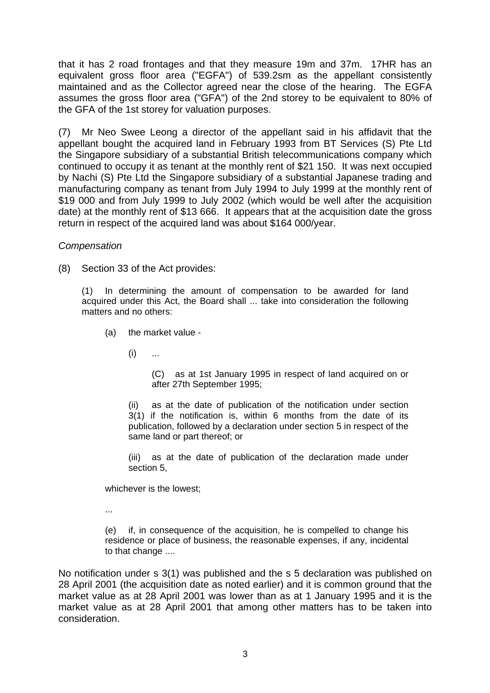that it has 2 road frontages and that they measure 19m and 37m. 17HR has an equivalent gross floor area ("EGFA") of 539.2sm as the appellant consistently maintained and as the Collector agreed near the close of the hearing. The EGFA assumes the gross floor area ("GFA") of the 2nd storey to be equivalent to 80% of the GFA of the 1st storey for valuation purposes.

(7) Mr Neo Swee Leong a director of the appellant said in his affidavit that the appellant bought the acquired land in February 1993 from BT Services (S) Pte Ltd the Singapore subsidiary of a substantial British telecommunications company which continued to occupy it as tenant at the monthly rent of \$21 150. It was next occupied by Nachi (S) Pte Ltd the Singapore subsidiary of a substantial Japanese trading and manufacturing company as tenant from July 1994 to July 1999 at the monthly rent of \$19 000 and from July 1999 to July 2002 (which would be well after the acquisition date) at the monthly rent of \$13 666. It appears that at the acquisition date the gross return in respect of the acquired land was about \$164 000/year.

*Compensation*

(8) Section 33 of the Act provides:

(1) In determining the amount of compensation to be awarded for land acquired under this Act, the Board shall ... take into consideration the following matters and no others:

- (a) the market value
	- $(i)$  ...

 (C) as at 1st January 1995 in respect of land acquired on or after 27th September 1995;

(ii) as at the date of publication of the notification under section 3(1) if the notification is, within 6 months from the date of its publication, followed by a declaration under section 5 in respect of the same land or part thereof; or

(iii) as at the date of publication of the declaration made under section 5,

whichever is the lowest;

...

 (e) if, in consequence of the acquisition, he is compelled to change his residence or place of business, the reasonable expenses, if any, incidental to that change ....

No notification under s 3(1) was published and the s 5 declaration was published on 28 April 2001 (the acquisition date as noted earlier) and it is common ground that the market value as at 28 April 2001 was lower than as at 1 January 1995 and it is the market value as at 28 April 2001 that among other matters has to be taken into consideration.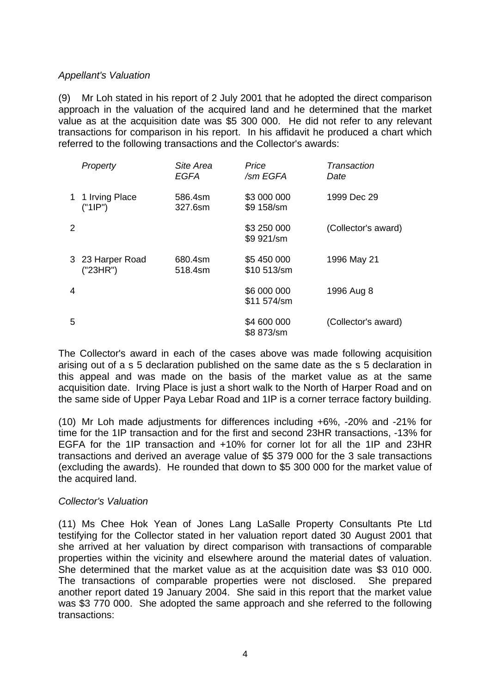# *Appellant's Valuation*

(9) Mr Loh stated in his report of 2 July 2001 that he adopted the direct comparison approach in the valuation of the acquired land and he determined that the market value as at the acquisition date was \$5 300 000. He did not refer to any relevant transactions for comparison in his report. In his affidavit he produced a chart which referred to the following transactions and the Collector's awards:

|   | Property                     | Site Area<br><b>EGFA</b> | Price<br>/sm EGFA          | Transaction<br>Date |
|---|------------------------------|--------------------------|----------------------------|---------------------|
|   | 1 1 Irving Place<br>("1IP")  | 586.4sm<br>327.6sm       | \$3 000 000<br>\$9 158/sm  | 1999 Dec 29         |
| 2 |                              |                          | \$3 250 000<br>\$9 921/sm  | (Collector's award) |
|   | 3 23 Harper Road<br>("23HR") | 680.4sm<br>518.4sm       | \$5 450 000<br>\$10 513/sm | 1996 May 21         |
| 4 |                              |                          | \$6 000 000<br>\$11 574/sm | 1996 Aug 8          |
| 5 |                              |                          | \$4 600 000<br>\$8 873/sm  | (Collector's award) |

The Collector's award in each of the cases above was made following acquisition arising out of a s 5 declaration published on the same date as the s 5 declaration in this appeal and was made on the basis of the market value as at the same acquisition date. Irving Place is just a short walk to the North of Harper Road and on the same side of Upper Paya Lebar Road and 1IP is a corner terrace factory building.

(10) Mr Loh made adjustments for differences including +6%, -20% and -21% for time for the 1IP transaction and for the first and second 23HR transactions, -13% for EGFA for the 1IP transaction and +10% for corner lot for all the 1IP and 23HR transactions and derived an average value of \$5 379 000 for the 3 sale transactions (excluding the awards). He rounded that down to \$5 300 000 for the market value of the acquired land.

### *Collector's Valuation*

(11) Ms Chee Hok Yean of Jones Lang LaSalle Property Consultants Pte Ltd testifying for the Collector stated in her valuation report dated 30 August 2001 that she arrived at her valuation by direct comparison with transactions of comparable properties within the vicinity and elsewhere around the material dates of valuation. She determined that the market value as at the acquisition date was \$3 010 000. The transactions of comparable properties were not disclosed. She prepared another report dated 19 January 2004. She said in this report that the market value was \$3 770 000. She adopted the same approach and she referred to the following transactions: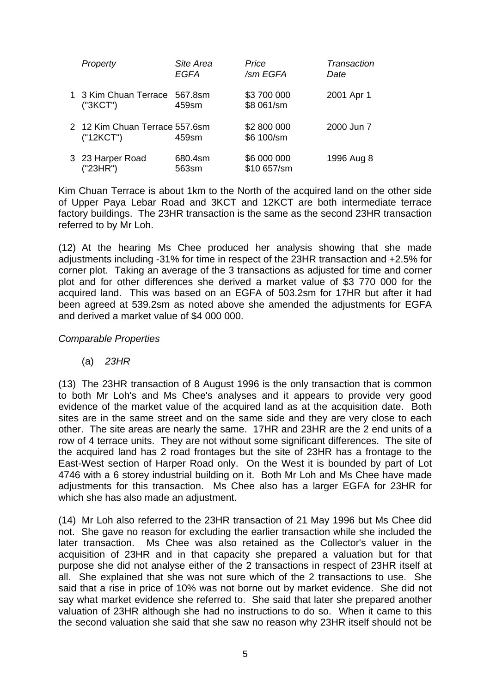| Property                                    | Site Area<br><b>EGFA</b> | Price<br>/sm EGFA          | Transaction<br>Date |
|---------------------------------------------|--------------------------|----------------------------|---------------------|
| 1 3 Kim Chuan Terrace 567.8sm<br>("3KCT")   | 459sm                    | \$3 700 000<br>\$8 061/sm  | 2001 Apr 1          |
| 2 12 Kim Chuan Terrace 557.6sm<br>("12KCT") | 459sm                    | \$2 800 000<br>\$6 100/sm  | 2000 Jun 7          |
| 3 23 Harper Road<br>("23HR")                | 680.4sm<br>563sm         | \$6 000 000<br>\$10 657/sm | 1996 Aug 8          |

Kim Chuan Terrace is about 1km to the North of the acquired land on the other side of Upper Paya Lebar Road and 3KCT and 12KCT are both intermediate terrace factory buildings. The 23HR transaction is the same as the second 23HR transaction referred to by Mr Loh.

(12) At the hearing Ms Chee produced her analysis showing that she made adjustments including -31% for time in respect of the 23HR transaction and +2.5% for corner plot. Taking an average of the 3 transactions as adjusted for time and corner plot and for other differences she derived a market value of \$3 770 000 for the acquired land. This was based on an EGFA of 503.2sm for 17HR but after it had been agreed at 539.2sm as noted above she amended the adjustments for EGFA and derived a market value of \$4 000 000.

### *Comparable Properties*

(a) *23HR* 

(13) The 23HR transaction of 8 August 1996 is the only transaction that is common to both Mr Loh's and Ms Chee's analyses and it appears to provide very good evidence of the market value of the acquired land as at the acquisition date. Both sites are in the same street and on the same side and they are very close to each other. The site areas are nearly the same. 17HR and 23HR are the 2 end units of a row of 4 terrace units. They are not without some significant differences. The site of the acquired land has 2 road frontages but the site of 23HR has a frontage to the East-West section of Harper Road only. On the West it is bounded by part of Lot 4746 with a 6 storey industrial building on it. Both Mr Loh and Ms Chee have made adjustments for this transaction. Ms Chee also has a larger EGFA for 23HR for which she has also made an adjustment.

(14) Mr Loh also referred to the 23HR transaction of 21 May 1996 but Ms Chee did not. She gave no reason for excluding the earlier transaction while she included the later transaction. Ms Chee was also retained as the Collector's valuer in the acquisition of 23HR and in that capacity she prepared a valuation but for that purpose she did not analyse either of the 2 transactions in respect of 23HR itself at all. She explained that she was not sure which of the 2 transactions to use. She said that a rise in price of 10% was not borne out by market evidence. She did not say what market evidence she referred to. She said that later she prepared another valuation of 23HR although she had no instructions to do so. When it came to this the second valuation she said that she saw no reason why 23HR itself should not be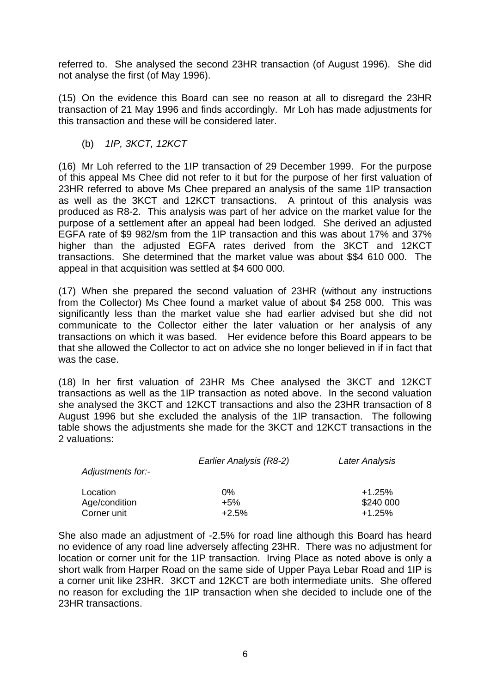referred to. She analysed the second 23HR transaction (of August 1996). She did not analyse the first (of May 1996).

(15) On the evidence this Board can see no reason at all to disregard the 23HR transaction of 21 May 1996 and finds accordingly. Mr Loh has made adjustments for this transaction and these will be considered later.

(b) *1IP, 3KCT, 12KCT* 

(16) Mr Loh referred to the 1IP transaction of 29 December 1999. For the purpose of this appeal Ms Chee did not refer to it but for the purpose of her first valuation of 23HR referred to above Ms Chee prepared an analysis of the same 1IP transaction as well as the 3KCT and 12KCT transactions. A printout of this analysis was produced as R8-2. This analysis was part of her advice on the market value for the purpose of a settlement after an appeal had been lodged. She derived an adjusted EGFA rate of \$9 982/sm from the 1IP transaction and this was about 17% and 37% higher than the adjusted EGFA rates derived from the 3KCT and 12KCT transactions. She determined that the market value was about \$\$4 610 000. The appeal in that acquisition was settled at \$4 600 000.

(17) When she prepared the second valuation of 23HR (without any instructions from the Collector) Ms Chee found a market value of about \$4 258 000. This was significantly less than the market value she had earlier advised but she did not communicate to the Collector either the later valuation or her analysis of any transactions on which it was based. Her evidence before this Board appears to be that she allowed the Collector to act on advice she no longer believed in if in fact that was the case.

(18) In her first valuation of 23HR Ms Chee analysed the 3KCT and 12KCT transactions as well as the 1IP transaction as noted above. In the second valuation she analysed the 3KCT and 12KCT transactions and also the 23HR transaction of 8 August 1996 but she excluded the analysis of the 1IP transaction. The following table shows the adjustments she made for the 3KCT and 12KCT transactions in the 2 valuations:

| Adjustments for:- | Earlier Analysis (R8-2) | Later Analysis |
|-------------------|-------------------------|----------------|
| Location          | 0%                      | $+1.25%$       |
| Age/condition     | $+5%$                   | \$240 000      |
| Corner unit       | $+2.5%$                 | $+1.25%$       |

She also made an adjustment of -2.5% for road line although this Board has heard no evidence of any road line adversely affecting 23HR. There was no adjustment for location or corner unit for the 1IP transaction. Irving Place as noted above is only a short walk from Harper Road on the same side of Upper Paya Lebar Road and 1IP is a corner unit like 23HR. 3KCT and 12KCT are both intermediate units. She offered no reason for excluding the 1IP transaction when she decided to include one of the 23HR transactions.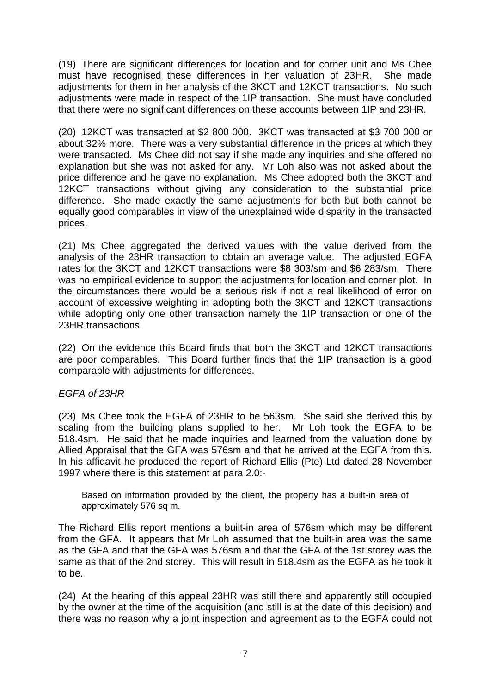(19) There are significant differences for location and for corner unit and Ms Chee must have recognised these differences in her valuation of 23HR. She made adjustments for them in her analysis of the 3KCT and 12KCT transactions. No such adjustments were made in respect of the 1IP transaction. She must have concluded that there were no significant differences on these accounts between 1IP and 23HR.

(20) 12KCT was transacted at \$2 800 000. 3KCT was transacted at \$3 700 000 or about 32% more. There was a very substantial difference in the prices at which they were transacted. Ms Chee did not say if she made any inquiries and she offered no explanation but she was not asked for any. Mr Loh also was not asked about the price difference and he gave no explanation. Ms Chee adopted both the 3KCT and 12KCT transactions without giving any consideration to the substantial price difference. She made exactly the same adjustments for both but both cannot be equally good comparables in view of the unexplained wide disparity in the transacted prices.

(21) Ms Chee aggregated the derived values with the value derived from the analysis of the 23HR transaction to obtain an average value. The adjusted EGFA rates for the 3KCT and 12KCT transactions were \$8 303/sm and \$6 283/sm. There was no empirical evidence to support the adjustments for location and corner plot. In the circumstances there would be a serious risk if not a real likelihood of error on account of excessive weighting in adopting both the 3KCT and 12KCT transactions while adopting only one other transaction namely the 1IP transaction or one of the 23HR transactions.

(22) On the evidence this Board finds that both the 3KCT and 12KCT transactions are poor comparables. This Board further finds that the 1IP transaction is a good comparable with adjustments for differences.

# *EGFA of 23HR*

(23) Ms Chee took the EGFA of 23HR to be 563sm. She said she derived this by scaling from the building plans supplied to her. Mr Loh took the EGFA to be 518.4sm. He said that he made inquiries and learned from the valuation done by Allied Appraisal that the GFA was 576sm and that he arrived at the EGFA from this. In his affidavit he produced the report of Richard Ellis (Pte) Ltd dated 28 November 1997 where there is this statement at para 2.0:-

Based on information provided by the client, the property has a built-in area of approximately 576 sq m.

The Richard Ellis report mentions a built-in area of 576sm which may be different from the GFA. It appears that Mr Loh assumed that the built-in area was the same as the GFA and that the GFA was 576sm and that the GFA of the 1st storey was the same as that of the 2nd storey. This will result in 518.4sm as the EGFA as he took it to be.

(24) At the hearing of this appeal 23HR was still there and apparently still occupied by the owner at the time of the acquisition (and still is at the date of this decision) and there was no reason why a joint inspection and agreement as to the EGFA could not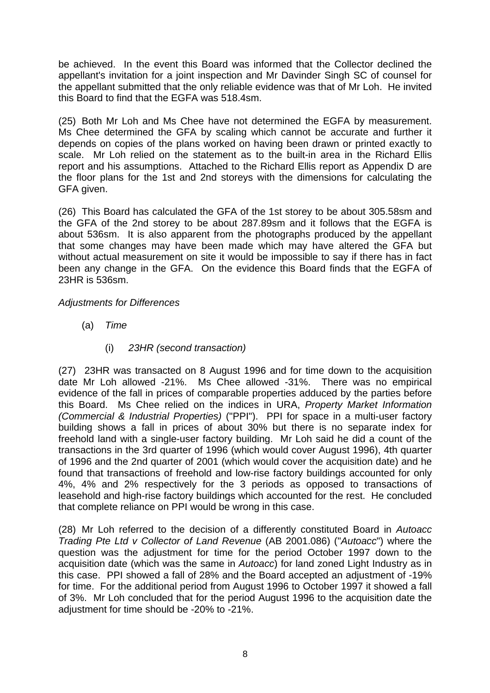be achieved. In the event this Board was informed that the Collector declined the appellant's invitation for a joint inspection and Mr Davinder Singh SC of counsel for the appellant submitted that the only reliable evidence was that of Mr Loh. He invited this Board to find that the EGFA was 518.4sm.

(25) Both Mr Loh and Ms Chee have not determined the EGFA by measurement. Ms Chee determined the GFA by scaling which cannot be accurate and further it depends on copies of the plans worked on having been drawn or printed exactly to scale. Mr Loh relied on the statement as to the built-in area in the Richard Ellis report and his assumptions. Attached to the Richard Ellis report as Appendix D are the floor plans for the 1st and 2nd storeys with the dimensions for calculating the GFA given.

(26) This Board has calculated the GFA of the 1st storey to be about 305.58sm and the GFA of the 2nd storey to be about 287.89sm and it follows that the EGFA is about 536sm. It is also apparent from the photographs produced by the appellant that some changes may have been made which may have altered the GFA but without actual measurement on site it would be impossible to say if there has in fact been any change in the GFA. On the evidence this Board finds that the EGFA of 23HR is 536sm.

# *Adjustments for Differences*

- (a) *Time* 
	- (i) *23HR (second transaction)*

(27) 23HR was transacted on 8 August 1996 and for time down to the acquisition date Mr Loh allowed -21%. Ms Chee allowed -31%. There was no empirical evidence of the fall in prices of comparable properties adduced by the parties before this Board. Ms Chee relied on the indices in URA, *Property Market Information (Commercial & Industrial Properties)* ("PPI"). PPI for space in a multi-user factory building shows a fall in prices of about 30% but there is no separate index for freehold land with a single-user factory building. Mr Loh said he did a count of the transactions in the 3rd quarter of 1996 (which would cover August 1996), 4th quarter of 1996 and the 2nd quarter of 2001 (which would cover the acquisition date) and he found that transactions of freehold and low-rise factory buildings accounted for only 4%, 4% and 2% respectively for the 3 periods as opposed to transactions of leasehold and high-rise factory buildings which accounted for the rest. He concluded that complete reliance on PPI would be wrong in this case.

(28) Mr Loh referred to the decision of a differently constituted Board in *Autoacc Trading Pte Ltd v Collector of Land Revenue* (AB 2001.086) ("*Autoacc*") where the question was the adjustment for time for the period October 1997 down to the acquisition date (which was the same in *Autoacc*) for land zoned Light Industry as in this case. PPI showed a fall of 28% and the Board accepted an adjustment of -19% for time. For the additional period from August 1996 to October 1997 it showed a fall of 3%. Mr Loh concluded that for the period August 1996 to the acquisition date the adjustment for time should be -20% to -21%.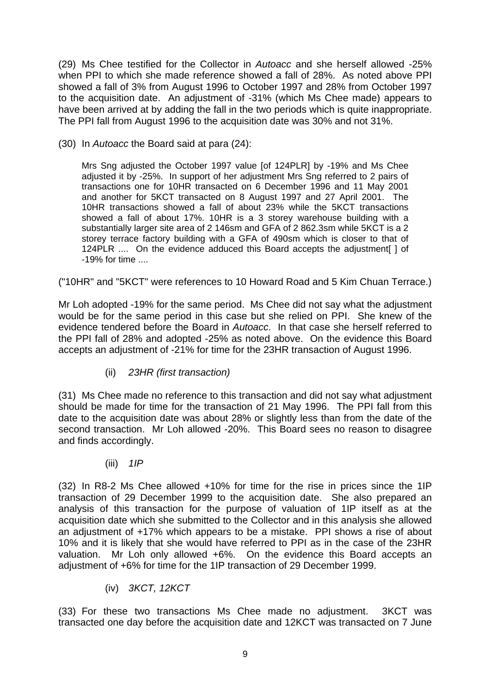(29) Ms Chee testified for the Collector in *Autoacc* and she herself allowed -25% when PPI to which she made reference showed a fall of 28%. As noted above PPI showed a fall of 3% from August 1996 to October 1997 and 28% from October 1997 to the acquisition date. An adjustment of -31% (which Ms Chee made) appears to have been arrived at by adding the fall in the two periods which is quite inappropriate. The PPI fall from August 1996 to the acquisition date was 30% and not 31%.

(30) In *Autoacc* the Board said at para (24):

Mrs Sng adjusted the October 1997 value [of 124PLR] by -19% and Ms Chee adjusted it by -25%. In support of her adjustment Mrs Sng referred to 2 pairs of transactions one for 10HR transacted on 6 December 1996 and 11 May 2001 and another for 5KCT transacted on 8 August 1997 and 27 April 2001. The 10HR transactions showed a fall of about 23% while the 5KCT transactions showed a fall of about 17%. 10HR is a 3 storey warehouse building with a substantially larger site area of 2 146sm and GFA of 2 862.3sm while 5KCT is a 2 storey terrace factory building with a GFA of 490sm which is closer to that of 124PLR .... On the evidence adduced this Board accepts the adjustment [ ] of -19% for time ....

("10HR" and "5KCT" were references to 10 Howard Road and 5 Kim Chuan Terrace.)

Mr Loh adopted -19% for the same period. Ms Chee did not say what the adjustment would be for the same period in this case but she relied on PPI. She knew of the evidence tendered before the Board in *Autoacc*. In that case she herself referred to the PPI fall of 28% and adopted -25% as noted above. On the evidence this Board accepts an adjustment of -21% for time for the 23HR transaction of August 1996.

(ii) *23HR (first transaction)* 

(31) Ms Chee made no reference to this transaction and did not say what adjustment should be made for time for the transaction of 21 May 1996. The PPI fall from this date to the acquisition date was about 28% or slightly less than from the date of the second transaction. Mr Loh allowed -20%. This Board sees no reason to disagree and finds accordingly.

(iii) *1IP* 

(32) In R8-2 Ms Chee allowed +10% for time for the rise in prices since the 1IP transaction of 29 December 1999 to the acquisition date. She also prepared an analysis of this transaction for the purpose of valuation of 1IP itself as at the acquisition date which she submitted to the Collector and in this analysis she allowed an adjustment of +17% which appears to be a mistake. PPI shows a rise of about 10% and it is likely that she would have referred to PPI as in the case of the 23HR valuation. Mr Loh only allowed +6%. On the evidence this Board accepts an adjustment of +6% for time for the 1IP transaction of 29 December 1999.

(iv) *3KCT, 12KCT* 

(33) For these two transactions Ms Chee made no adjustment. 3KCT was transacted one day before the acquisition date and 12KCT was transacted on 7 June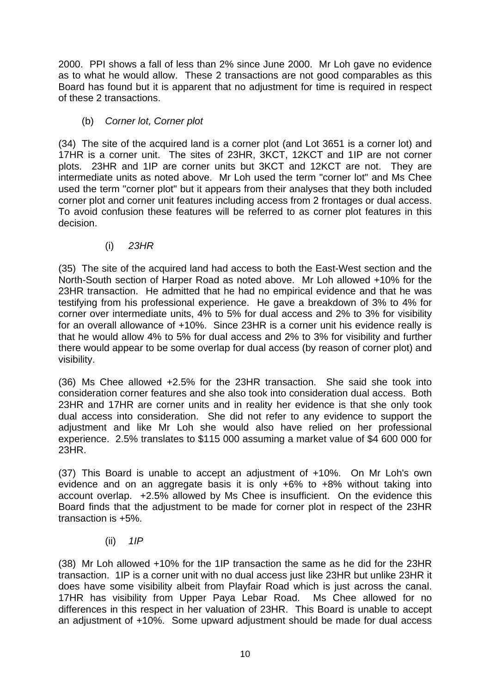2000. PPI shows a fall of less than 2% since June 2000. Mr Loh gave no evidence as to what he would allow. These 2 transactions are not good comparables as this Board has found but it is apparent that no adjustment for time is required in respect of these 2 transactions.

(b) *Corner lot, Corner plot* 

(34) The site of the acquired land is a corner plot (and Lot 3651 is a corner lot) and 17HR is a corner unit. The sites of 23HR, 3KCT, 12KCT and 1IP are not corner plots. 23HR and 1IP are corner units but 3KCT and 12KCT are not. They are intermediate units as noted above. Mr Loh used the term "corner lot" and Ms Chee used the term "corner plot" but it appears from their analyses that they both included corner plot and corner unit features including access from 2 frontages or dual access. To avoid confusion these features will be referred to as corner plot features in this decision.

(i) *23HR*

(35) The site of the acquired land had access to both the East-West section and the North-South section of Harper Road as noted above. Mr Loh allowed +10% for the 23HR transaction. He admitted that he had no empirical evidence and that he was testifying from his professional experience. He gave a breakdown of 3% to 4% for corner over intermediate units, 4% to 5% for dual access and 2% to 3% for visibility for an overall allowance of +10%. Since 23HR is a corner unit his evidence really is that he would allow 4% to 5% for dual access and 2% to 3% for visibility and further there would appear to be some overlap for dual access (by reason of corner plot) and visibility.

(36) Ms Chee allowed +2.5% for the 23HR transaction. She said she took into consideration corner features and she also took into consideration dual access. Both 23HR and 17HR are corner units and in reality her evidence is that she only took dual access into consideration. She did not refer to any evidence to support the adjustment and like Mr Loh she would also have relied on her professional experience. 2.5% translates to \$115 000 assuming a market value of \$4 600 000 for 23HR.

(37) This Board is unable to accept an adjustment of +10%. On Mr Loh's own evidence and on an aggregate basis it is only +6% to +8% without taking into account overlap. +2.5% allowed by Ms Chee is insufficient. On the evidence this Board finds that the adjustment to be made for corner plot in respect of the 23HR transaction is +5%.

(ii) *1IP* 

(38) Mr Loh allowed +10% for the 1IP transaction the same as he did for the 23HR transaction. 1IP is a corner unit with no dual access just like 23HR but unlike 23HR it does have some visibility albeit from Playfair Road which is just across the canal. 17HR has visibility from Upper Paya Lebar Road. Ms Chee allowed for no differences in this respect in her valuation of 23HR. This Board is unable to accept an adjustment of +10%. Some upward adjustment should be made for dual access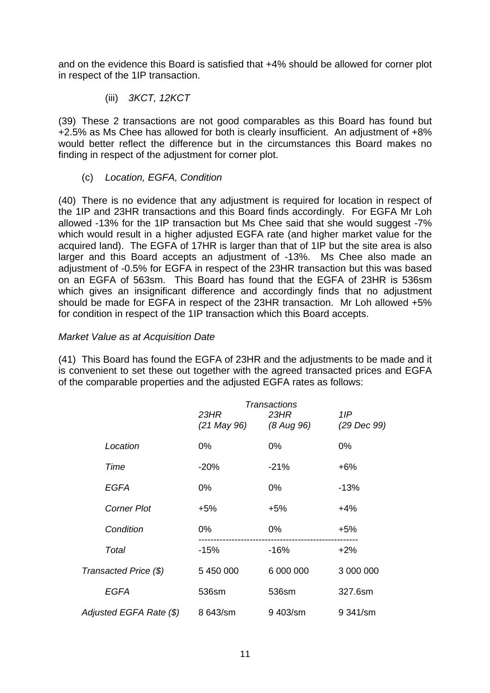and on the evidence this Board is satisfied that +4% should be allowed for corner plot in respect of the 1IP transaction.

(iii) *3KCT, 12KCT* 

(39) These 2 transactions are not good comparables as this Board has found but +2.5% as Ms Chee has allowed for both is clearly insufficient. An adjustment of +8% would better reflect the difference but in the circumstances this Board makes no finding in respect of the adjustment for corner plot.

(c) *Location, EGFA, Condition* 

(40) There is no evidence that any adjustment is required for location in respect of the 1IP and 23HR transactions and this Board finds accordingly. For EGFA Mr Loh allowed -13% for the 1IP transaction but Ms Chee said that she would suggest -7% which would result in a higher adjusted EGFA rate (and higher market value for the acquired land). The EGFA of 17HR is larger than that of 1IP but the site area is also larger and this Board accepts an adjustment of -13%. Ms Chee also made an adjustment of -0.5% for EGFA in respect of the 23HR transaction but this was based on an EGFA of 563sm. This Board has found that the EGFA of 23HR is 536sm which gives an insignificant difference and accordingly finds that no adjustment should be made for EGFA in respect of the 23HR transaction. Mr Loh allowed +5% for condition in respect of the 1IP transaction which this Board accepts.

# *Market Value as at Acquisition Date*

(41) This Board has found the EGFA of 23HR and the adjustments to be made and it is convenient to set these out together with the agreed transacted prices and EGFA of the comparable properties and the adjusted EGFA rates as follows:

|                         | Transactions        |                    |                     |  |
|-------------------------|---------------------|--------------------|---------------------|--|
|                         | 23HR<br>(21 May 96) | 23HR<br>(8 Aug 96) | 1 IP<br>(29 Dec 99) |  |
| Location                | 0%                  | 0%                 | 0%                  |  |
| Time                    | $-20%$              | $-21%$             | $+6%$               |  |
| EGFA                    | $0\%$               | $0\%$              | $-13%$              |  |
| <b>Corner Plot</b>      | $+5%$               | $+5%$              | $+4%$               |  |
| Condition               | $0\%$               | $0\%$              | +5%                 |  |
| Total                   | $-15%$              | $-16%$             | $+2%$               |  |
| Transacted Price (\$)   | 5 450 000           | 6 000 000          | 3 000 000           |  |
| <b>EGFA</b>             | 536sm               | 536sm              | 327.6sm             |  |
| Adjusted EGFA Rate (\$) | 8 643/sm            | 9403/sm            | 9 341/sm            |  |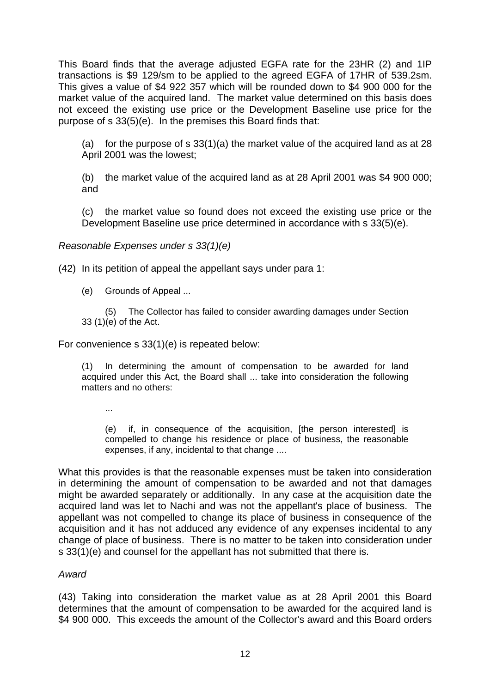This Board finds that the average adjusted EGFA rate for the 23HR (2) and 1IP transactions is \$9 129/sm to be applied to the agreed EGFA of 17HR of 539.2sm. This gives a value of \$4 922 357 which will be rounded down to \$4 900 000 for the market value of the acquired land. The market value determined on this basis does not exceed the existing use price or the Development Baseline use price for the purpose of s 33(5)(e). In the premises this Board finds that:

(a) for the purpose of s  $33(1)(a)$  the market value of the acquired land as at 28 April 2001 was the lowest;

(b) the market value of the acquired land as at 28 April 2001 was \$4 900 000; and

(c) the market value so found does not exceed the existing use price or the Development Baseline use price determined in accordance with s 33(5)(e).

*Reasonable Expenses under s 33(1)(e)*

(42) In its petition of appeal the appellant says under para 1:

(e) Grounds of Appeal ...

 (5) The Collector has failed to consider awarding damages under Section 33 (1)(e) of the Act.

For convenience s 33(1)(e) is repeated below:

(1) In determining the amount of compensation to be awarded for land acquired under this Act, the Board shall ... take into consideration the following matters and no others:

...

(e) if, in consequence of the acquisition, [the person interested] is compelled to change his residence or place of business, the reasonable expenses, if any, incidental to that change ....

What this provides is that the reasonable expenses must be taken into consideration in determining the amount of compensation to be awarded and not that damages might be awarded separately or additionally. In any case at the acquisition date the acquired land was let to Nachi and was not the appellant's place of business. The appellant was not compelled to change its place of business in consequence of the acquisition and it has not adduced any evidence of any expenses incidental to any change of place of business. There is no matter to be taken into consideration under s 33(1)(e) and counsel for the appellant has not submitted that there is.

### *Award*

(43) Taking into consideration the market value as at 28 April 2001 this Board determines that the amount of compensation to be awarded for the acquired land is \$4 900 000. This exceeds the amount of the Collector's award and this Board orders